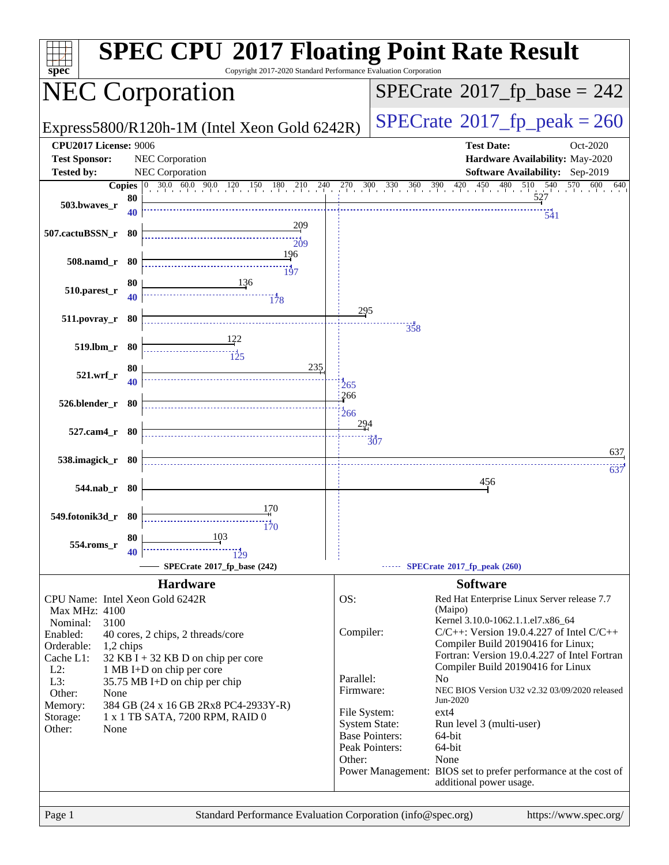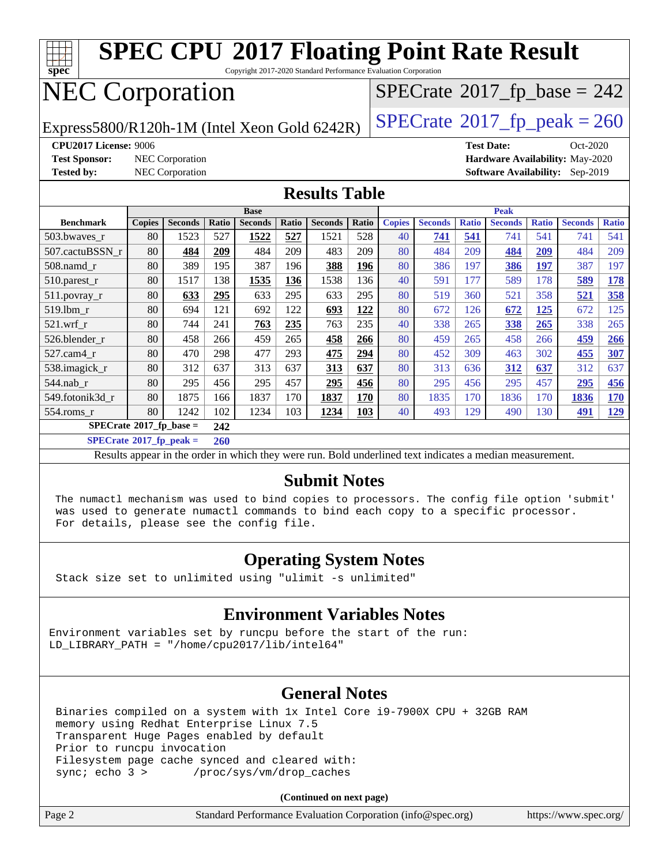

#### **[Submit Notes](http://www.spec.org/auto/cpu2017/Docs/result-fields.html#SubmitNotes)**

 The numactl mechanism was used to bind copies to processors. The config file option 'submit' was used to generate numactl commands to bind each copy to a specific processor. For details, please see the config file.

#### **[Operating System Notes](http://www.spec.org/auto/cpu2017/Docs/result-fields.html#OperatingSystemNotes)**

Stack size set to unlimited using "ulimit -s unlimited"

#### **[Environment Variables Notes](http://www.spec.org/auto/cpu2017/Docs/result-fields.html#EnvironmentVariablesNotes)**

Environment variables set by runcpu before the start of the run: LD LIBRARY PATH = "/home/cpu2017/lib/intel64"

#### **[General Notes](http://www.spec.org/auto/cpu2017/Docs/result-fields.html#GeneralNotes)**

 Binaries compiled on a system with 1x Intel Core i9-7900X CPU + 32GB RAM memory using Redhat Enterprise Linux 7.5 Transparent Huge Pages enabled by default Prior to runcpu invocation Filesystem page cache synced and cleared with: sync; echo 3 > /proc/sys/vm/drop caches

**(Continued on next page)**

| Page 2 | Standard Performance Evaluation Corporation (info@spec.org) | https://www.spec.org/ |
|--------|-------------------------------------------------------------|-----------------------|
|--------|-------------------------------------------------------------|-----------------------|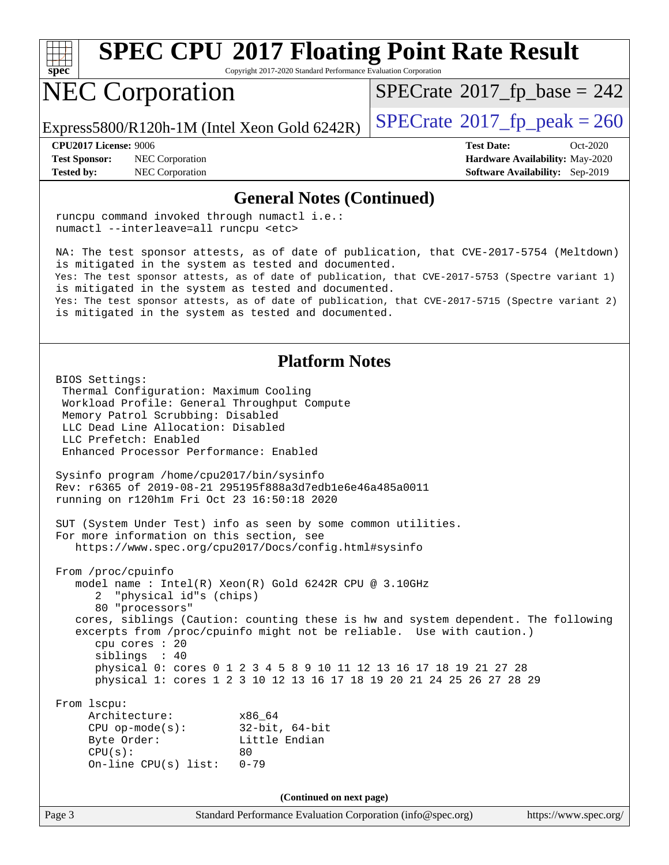

Copyright 2017-2020 Standard Performance Evaluation Corporation

## NEC Corporation

 $SPECTate$ <sup>®</sup>[2017\\_fp\\_base =](http://www.spec.org/auto/cpu2017/Docs/result-fields.html#SPECrate2017fpbase) 242

Express5800/R120h-1M (Intel Xeon Gold 6242R)  $\left|$  [SPECrate](http://www.spec.org/auto/cpu2017/Docs/result-fields.html#SPECrate2017fppeak)<sup>®</sup>[2017\\_fp\\_peak = 2](http://www.spec.org/auto/cpu2017/Docs/result-fields.html#SPECrate2017fppeak)60

**[Test Sponsor:](http://www.spec.org/auto/cpu2017/Docs/result-fields.html#TestSponsor)** NEC Corporation **[Hardware Availability:](http://www.spec.org/auto/cpu2017/Docs/result-fields.html#HardwareAvailability)** May-2020 **[Tested by:](http://www.spec.org/auto/cpu2017/Docs/result-fields.html#Testedby)** NEC Corporation **[Software Availability:](http://www.spec.org/auto/cpu2017/Docs/result-fields.html#SoftwareAvailability)** Sep-2019

**[CPU2017 License:](http://www.spec.org/auto/cpu2017/Docs/result-fields.html#CPU2017License)** 9006 **[Test Date:](http://www.spec.org/auto/cpu2017/Docs/result-fields.html#TestDate)** Oct-2020

#### **[General Notes \(Continued\)](http://www.spec.org/auto/cpu2017/Docs/result-fields.html#GeneralNotes)**

 runcpu command invoked through numactl i.e.: numactl --interleave=all runcpu <etc> NA: The test sponsor attests, as of date of publication, that CVE-2017-5754 (Meltdown) is mitigated in the system as tested and documented. Yes: The test sponsor attests, as of date of publication, that CVE-2017-5753 (Spectre variant 1) is mitigated in the system as tested and documented. Yes: The test sponsor attests, as of date of publication, that CVE-2017-5715 (Spectre variant 2) is mitigated in the system as tested and documented. **[Platform Notes](http://www.spec.org/auto/cpu2017/Docs/result-fields.html#PlatformNotes)** BIOS Settings: Thermal Configuration: Maximum Cooling Workload Profile: General Throughput Compute Memory Patrol Scrubbing: Disabled LLC Dead Line Allocation: Disabled LLC Prefetch: Enabled Enhanced Processor Performance: Enabled Sysinfo program /home/cpu2017/bin/sysinfo Rev: r6365 of 2019-08-21 295195f888a3d7edb1e6e46a485a0011 running on r120h1m Fri Oct 23 16:50:18 2020 SUT (System Under Test) info as seen by some common utilities. For more information on this section, see <https://www.spec.org/cpu2017/Docs/config.html#sysinfo> From /proc/cpuinfo model name : Intel(R) Xeon(R) Gold 6242R CPU @ 3.10GHz 2 "physical id"s (chips) 80 "processors" cores, siblings (Caution: counting these is hw and system dependent. The following excerpts from /proc/cpuinfo might not be reliable. Use with caution.) cpu cores : 20 siblings : 40 physical 0: cores 0 1 2 3 4 5 8 9 10 11 12 13 16 17 18 19 21 27 28 physical 1: cores 1 2 3 10 12 13 16 17 18 19 20 21 24 25 26 27 28 29 From lscpu: Architecture: x86\_64 CPU op-mode(s): 32-bit, 64-bit Byte Order: Little Endian  $CPU(s):$  80 On-line CPU(s) list: 0-79 **(Continued on next page)**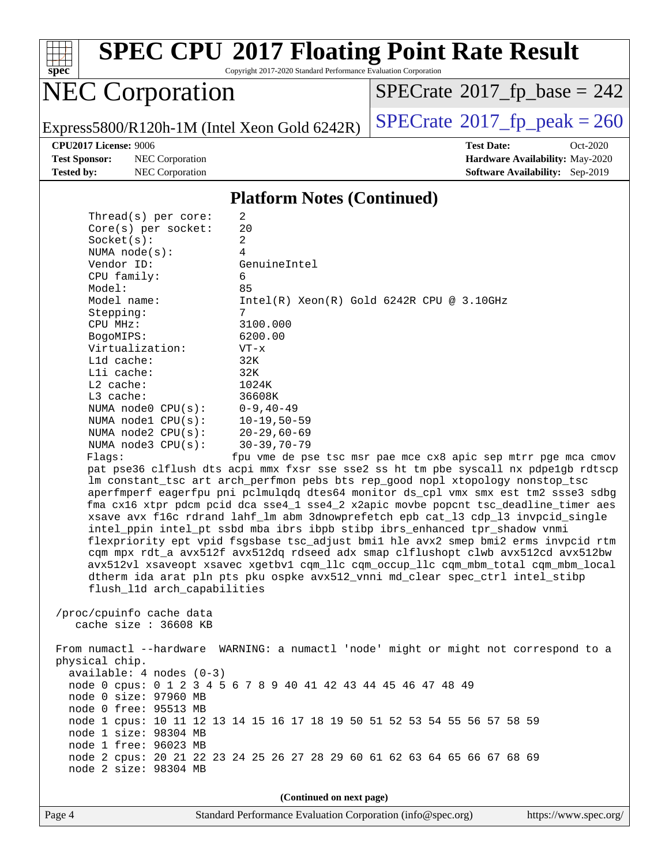

Copyright 2017-2020 Standard Performance Evaluation Corporation

## NEC Corporation

 $SPECTate$ <sup>®</sup>[2017\\_fp\\_base =](http://www.spec.org/auto/cpu2017/Docs/result-fields.html#SPECrate2017fpbase) 242

Express5800/R120h-1M (Intel Xeon Gold 6242R)  $\left|$  [SPECrate](http://www.spec.org/auto/cpu2017/Docs/result-fields.html#SPECrate2017fppeak)®[2017\\_fp\\_peak = 2](http://www.spec.org/auto/cpu2017/Docs/result-fields.html#SPECrate2017fppeak)60

**[Test Sponsor:](http://www.spec.org/auto/cpu2017/Docs/result-fields.html#TestSponsor)** NEC Corporation **[Hardware Availability:](http://www.spec.org/auto/cpu2017/Docs/result-fields.html#HardwareAvailability)** May-2020 **[Tested by:](http://www.spec.org/auto/cpu2017/Docs/result-fields.html#Testedby)** NEC Corporation **[Software Availability:](http://www.spec.org/auto/cpu2017/Docs/result-fields.html#SoftwareAvailability)** Sep-2019

 $Thmend(a)$  per core:

**[CPU2017 License:](http://www.spec.org/auto/cpu2017/Docs/result-fields.html#CPU2017License)** 9006 **[Test Date:](http://www.spec.org/auto/cpu2017/Docs/result-fields.html#TestDate)** Oct-2020

#### **[Platform Notes \(Continued\)](http://www.spec.org/auto/cpu2017/Docs/result-fields.html#PlatformNotes)**

| inteau(s) ber core.         | 4                                                                                    |
|-----------------------------|--------------------------------------------------------------------------------------|
| $Core(s)$ per socket:       | 20                                                                                   |
| Socket(s):                  | $\overline{2}$                                                                       |
| NUMA $node(s)$ :            | 4                                                                                    |
| Vendor ID:                  | GenuineIntel                                                                         |
| CPU family:                 | 6                                                                                    |
| Model:                      | 85                                                                                   |
| Model name:                 | $Intel(R) Xeon(R) Gold 6242R CPU @ 3.10GHz$                                          |
| Stepping:                   | 7                                                                                    |
| CPU MHz:                    | 3100.000                                                                             |
| BogoMIPS:                   | 6200.00                                                                              |
| Virtualization:             | $VT - x$                                                                             |
| L1d cache:                  | 32K                                                                                  |
| Lli cache:                  | 32K                                                                                  |
| $L2$ cache:                 | 1024K                                                                                |
| L3 cache:                   | 36608K                                                                               |
| NUMA $node0$ $CPU(s):$      | $0 - 9, 40 - 49$                                                                     |
| NUMA nodel CPU(s):          | $10 - 19,50 - 59$                                                                    |
| NUMA $node2$ $CPU(s)$ :     | $20 - 29,60 - 69$                                                                    |
| NUMA $node3$ $CPU(s):$      | $30 - 39, 70 - 79$                                                                   |
| Flaqs:                      | fpu vme de pse tsc msr pae mce cx8 apic sep mtrr pge mca cmov                        |
|                             | pat pse36 clflush dts acpi mmx fxsr sse sse2 ss ht tm pbe syscall nx pdpe1gb rdtscp  |
|                             | lm constant_tsc art arch_perfmon pebs bts rep_good nopl xtopology nonstop_tsc        |
|                             | aperfmperf eagerfpu pni pclmulqdq dtes64 monitor ds_cpl vmx smx est tm2 ssse3 sdbg   |
|                             | fma cx16 xtpr pdcm pcid dca sse4_1 sse4_2 x2apic movbe popcnt tsc_deadline_timer aes |
|                             | xsave avx f16c rdrand lahf_lm abm 3dnowprefetch epb cat_13 cdp_13 invpcid_single     |
|                             | intel_ppin intel_pt ssbd mba ibrs ibpb stibp ibrs_enhanced tpr_shadow vnmi           |
|                             | flexpriority ept vpid fsgsbase tsc_adjust bmil hle avx2 smep bmi2 erms invpcid rtm   |
|                             | cqm mpx rdt_a avx512f avx512dq rdseed adx smap clflushopt clwb avx512cd avx512bw     |
|                             | avx512vl xsaveopt xsavec xgetbvl cqm_llc cqm_occup_llc cqm_mbm_total cqm_mbm_local   |
|                             | dtherm ida arat pln pts pku ospke avx512_vnni md_clear spec_ctrl intel_stibp         |
| flush 11d arch capabilities |                                                                                      |
|                             |                                                                                      |
| /proc/cpuinfo cache data    |                                                                                      |
| cache size $: 36608$ KB     |                                                                                      |
|                             |                                                                                      |
|                             | From numactl --hardware WARNING: a numactl 'node' might or might not correspond to a |
| physical chip.              |                                                                                      |
| $available: 4 nodes (0-3)$  |                                                                                      |
|                             | node 0 cpus: 0 1 2 3 4 5 6 7 8 9 40 41 42 43 44 45 46 47 48 49                       |
| node 0 size: 97960 MB       |                                                                                      |
| node 0 free: 95513 MB       |                                                                                      |
|                             | node 1 cpus: 10 11 12 13 14 15 16 17 18 19 50 51 52 53 54 55 56 57 58 59             |
| node 1 size: 98304 MB       |                                                                                      |
| node 1 free: 96023 MB       |                                                                                      |
|                             | node 2 cpus: 20 21 22 23 24 25 26 27 28 29 60 61 62 63 64 65 66 67 68 69             |
| node 2 size: 98304 MB       |                                                                                      |

**(Continued on next page)**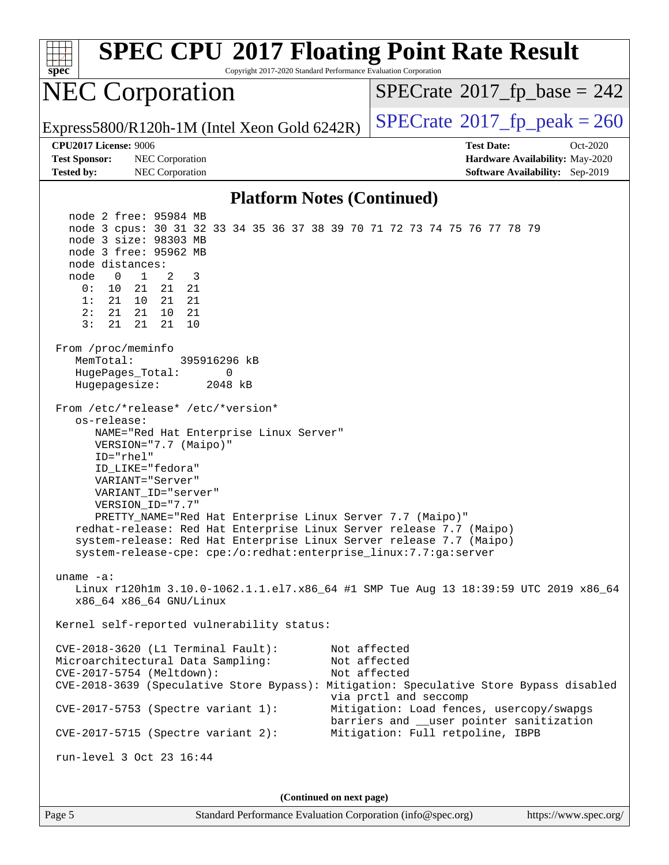| <b>SPEC CPU®2017 Floating Point Rate Result</b><br>Copyright 2017-2020 Standard Performance Evaluation Corporation<br>spec                                                                                                                                                                                                                                                                                                                                                                          |                                                                                                                          |  |  |  |
|-----------------------------------------------------------------------------------------------------------------------------------------------------------------------------------------------------------------------------------------------------------------------------------------------------------------------------------------------------------------------------------------------------------------------------------------------------------------------------------------------------|--------------------------------------------------------------------------------------------------------------------------|--|--|--|
| <b>NEC Corporation</b>                                                                                                                                                                                                                                                                                                                                                                                                                                                                              | $SPECTate$ <sup>®</sup> 2017_fp_base = 242                                                                               |  |  |  |
| Express5800/R120h-1M (Intel Xeon Gold 6242R)                                                                                                                                                                                                                                                                                                                                                                                                                                                        | $SPECTate^{\circ}2017$ _fp_peak = 260                                                                                    |  |  |  |
| <b>CPU2017 License: 9006</b><br><b>Test Sponsor:</b><br>NEC Corporation<br><b>Tested by:</b><br>NEC Corporation                                                                                                                                                                                                                                                                                                                                                                                     | <b>Test Date:</b><br>$Oct-2020$<br>Hardware Availability: May-2020<br><b>Software Availability:</b> Sep-2019             |  |  |  |
| <b>Platform Notes (Continued)</b>                                                                                                                                                                                                                                                                                                                                                                                                                                                                   |                                                                                                                          |  |  |  |
| node 2 free: 95984 MB<br>node 3 cpus: 30 31 32 33 34 35 36 37 38 39 70 71 72 73 74 75 76 77 78 79<br>node 3 size: 98303 MB<br>node 3 free: 95962 MB<br>node distances:<br>3<br>node<br>$\mathbf{0}$<br>$\mathbf{1}$<br>2<br>0 :<br>10<br>21<br>21<br>21<br>1:<br>21<br>10<br>21<br>21<br>2:<br>21<br>21<br>10<br>21<br>3:<br>21<br>21<br>10<br>21<br>From /proc/meminfo<br>MemTotal:<br>395916296 kB                                                                                                |                                                                                                                          |  |  |  |
| HugePages_Total:<br>0<br>Hugepagesize:<br>2048 kB                                                                                                                                                                                                                                                                                                                                                                                                                                                   |                                                                                                                          |  |  |  |
| From /etc/*release* /etc/*version*<br>os-release:<br>NAME="Red Hat Enterprise Linux Server"<br>VERSION="7.7 (Maipo)"<br>ID="rhel"<br>ID LIKE="fedora"<br>VARIANT="Server"<br>VARIANT ID="server"<br>VERSION_ID="7.7"<br>PRETTY_NAME="Red Hat Enterprise Linux Server 7.7 (Maipo)"<br>redhat-release: Red Hat Enterprise Linux Server release 7.7 (Maipo)<br>system-release: Red Hat Enterprise Linux Server release 7.7 (Maipo)<br>system-release-cpe: cpe:/o:redhat:enterprise_linux:7.7:ga:server |                                                                                                                          |  |  |  |
| uname $-a$ :<br>Linux r120hlm 3.10.0-1062.1.1.el7.x86_64 #1 SMP Tue Aug 13 18:39:59 UTC 2019 x86_64<br>x86_64 x86_64 GNU/Linux                                                                                                                                                                                                                                                                                                                                                                      |                                                                                                                          |  |  |  |
| Kernel self-reported vulnerability status:                                                                                                                                                                                                                                                                                                                                                                                                                                                          |                                                                                                                          |  |  |  |
| CVE-2018-3620 (L1 Terminal Fault):<br>Microarchitectural Data Sampling:<br>CVE-2017-5754 (Meltdown):<br>CVE-2018-3639 (Speculative Store Bypass): Mitigation: Speculative Store Bypass disabled                                                                                                                                                                                                                                                                                                     | Not affected<br>Not affected<br>Not affected<br>via prctl and seccomp                                                    |  |  |  |
| $CVE-2017-5753$ (Spectre variant 1):<br>$CVE-2017-5715$ (Spectre variant 2):                                                                                                                                                                                                                                                                                                                                                                                                                        | Mitigation: Load fences, usercopy/swapgs<br>barriers and __user pointer sanitization<br>Mitigation: Full retpoline, IBPB |  |  |  |
| run-level 3 Oct 23 16:44                                                                                                                                                                                                                                                                                                                                                                                                                                                                            |                                                                                                                          |  |  |  |
|                                                                                                                                                                                                                                                                                                                                                                                                                                                                                                     |                                                                                                                          |  |  |  |
| (Continued on next page)                                                                                                                                                                                                                                                                                                                                                                                                                                                                            |                                                                                                                          |  |  |  |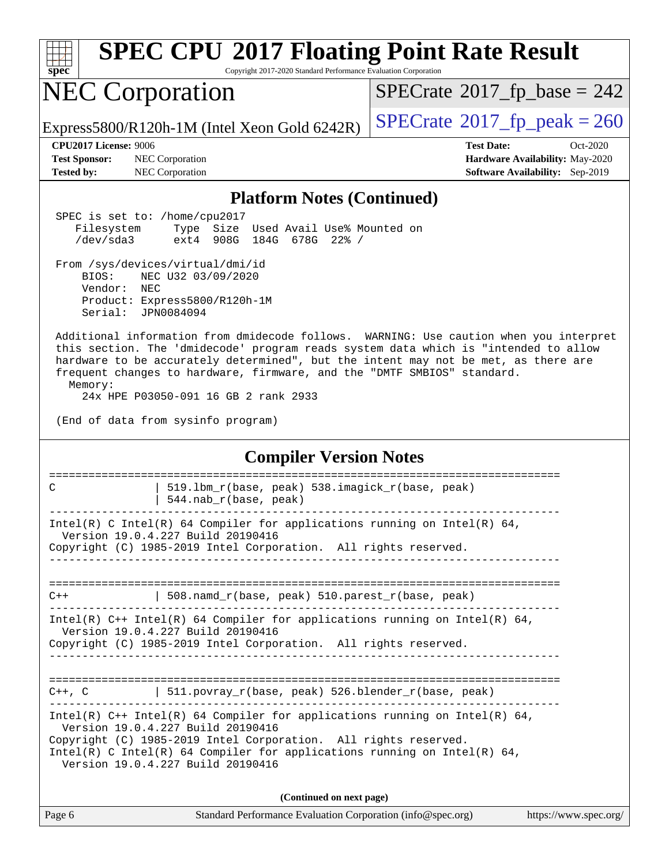| <b>SPEC CPU®2017 Floating Point Rate Result</b><br>Copyright 2017-2020 Standard Performance Evaluation Corporation<br>spec                                                                                                                                                                                                                                                                        |                                                                                                            |  |  |
|---------------------------------------------------------------------------------------------------------------------------------------------------------------------------------------------------------------------------------------------------------------------------------------------------------------------------------------------------------------------------------------------------|------------------------------------------------------------------------------------------------------------|--|--|
| <b>NEC Corporation</b>                                                                                                                                                                                                                                                                                                                                                                            | $SPECrate^{\circ}2017$ fp base = 242                                                                       |  |  |
| Express5800/R120h-1M (Intel Xeon Gold 6242R)                                                                                                                                                                                                                                                                                                                                                      | $SPECrate@2017_fp\_peak = 260$                                                                             |  |  |
| CPU2017 License: 9006<br>NEC Corporation<br><b>Test Sponsor:</b><br>NEC Corporation<br><b>Tested by:</b>                                                                                                                                                                                                                                                                                          | <b>Test Date:</b><br>Oct-2020<br>Hardware Availability: May-2020<br><b>Software Availability:</b> Sep-2019 |  |  |
| <b>Platform Notes (Continued)</b>                                                                                                                                                                                                                                                                                                                                                                 |                                                                                                            |  |  |
| SPEC is set to: /home/cpu2017<br>Size Used Avail Use% Mounted on<br>Filesystem<br>Type<br>/dev/sda3<br>184G<br>ext4<br>908G<br>678G 22% /                                                                                                                                                                                                                                                         |                                                                                                            |  |  |
| From /sys/devices/virtual/dmi/id<br>BIOS:<br>NEC U32 03/09/2020<br>Vendor:<br>NEC<br>Product: Express5800/R120h-1M<br>Serial:<br>JPN0084094                                                                                                                                                                                                                                                       |                                                                                                            |  |  |
| Additional information from dmidecode follows. WARNING: Use caution when you interpret<br>this section. The 'dmidecode' program reads system data which is "intended to allow<br>hardware to be accurately determined", but the intent may not be met, as there are<br>frequent changes to hardware, firmware, and the "DMTF SMBIOS" standard.<br>Memory:<br>24x HPE P03050-091 16 GB 2 rank 2933 |                                                                                                            |  |  |
| (End of data from sysinfo program)                                                                                                                                                                                                                                                                                                                                                                |                                                                                                            |  |  |
| <b>Compiler Version Notes</b>                                                                                                                                                                                                                                                                                                                                                                     |                                                                                                            |  |  |
| 519.1bm_r(base, peak) 538.imagick_r(base, peak)<br>C<br>544.nab_r(base, peak)                                                                                                                                                                                                                                                                                                                     | =====================                                                                                      |  |  |
| Intel(R) C Intel(R) 64 Compiler for applications running on Intel(R) 64,<br>Version 19.0.4.227 Build 20190416<br>Copyright (C) 1985-2019 Intel Corporation. All rights reserved.                                                                                                                                                                                                                  |                                                                                                            |  |  |
|                                                                                                                                                                                                                                                                                                                                                                                                   |                                                                                                            |  |  |
| $508.namd_r(base, peak) 510.parest_r(base, peak)$<br>$C++$                                                                                                                                                                                                                                                                                                                                        |                                                                                                            |  |  |
| Intel(R) $C++$ Intel(R) 64 Compiler for applications running on Intel(R) 64,<br>Version 19.0.4.227 Build 20190416<br>Copyright (C) 1985-2019 Intel Corporation. All rights reserved.                                                                                                                                                                                                              |                                                                                                            |  |  |
| C++, C $ $ 511.povray_r(base, peak) 526.blender_r(base, peak)                                                                                                                                                                                                                                                                                                                                     |                                                                                                            |  |  |
| Intel(R) $C++$ Intel(R) 64 Compiler for applications running on Intel(R) 64,<br>Version 19.0.4.227 Build 20190416<br>Copyright (C) 1985-2019 Intel Corporation. All rights reserved.<br>Intel(R) C Intel(R) 64 Compiler for applications running on Intel(R) 64,<br>Version 19.0.4.227 Build 20190416                                                                                             |                                                                                                            |  |  |
| (Continued on next page)                                                                                                                                                                                                                                                                                                                                                                          |                                                                                                            |  |  |
| Page 6<br>Standard Performance Evaluation Corporation (info@spec.org)                                                                                                                                                                                                                                                                                                                             | https://www.spec.org/                                                                                      |  |  |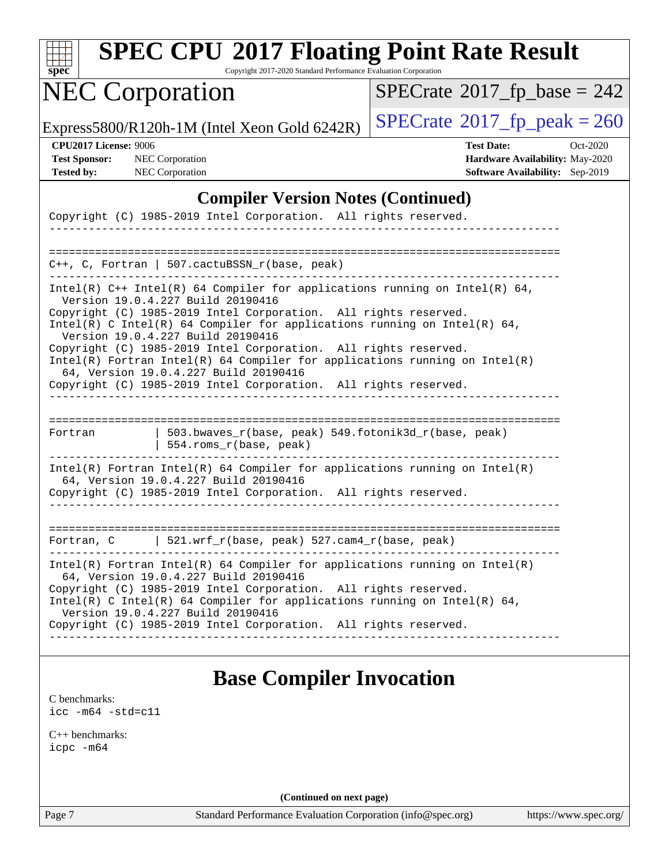| SI<br>pe<br>Ľ |  |  |  |  |  |
|---------------|--|--|--|--|--|

Copyright 2017-2020 Standard Performance Evaluation Corporation

# NEC Corporation

 $SPECTate$ <sup>®</sup>[2017\\_fp\\_base =](http://www.spec.org/auto/cpu2017/Docs/result-fields.html#SPECrate2017fpbase) 242

Express5800/R120h-1M (Intel Xeon Gold 6242R)  $\left|$  [SPECrate](http://www.spec.org/auto/cpu2017/Docs/result-fields.html#SPECrate2017fppeak)<sup>®</sup>[2017\\_fp\\_peak = 2](http://www.spec.org/auto/cpu2017/Docs/result-fields.html#SPECrate2017fppeak)60

**[CPU2017 License:](http://www.spec.org/auto/cpu2017/Docs/result-fields.html#CPU2017License)** 9006 **[Test Date:](http://www.spec.org/auto/cpu2017/Docs/result-fields.html#TestDate)** Oct-2020 **[Test Sponsor:](http://www.spec.org/auto/cpu2017/Docs/result-fields.html#TestSponsor)** NEC Corporation **[Hardware Availability:](http://www.spec.org/auto/cpu2017/Docs/result-fields.html#HardwareAvailability)** May-2020 **[Tested by:](http://www.spec.org/auto/cpu2017/Docs/result-fields.html#Testedby)** NEC Corporation **[Software Availability:](http://www.spec.org/auto/cpu2017/Docs/result-fields.html#SoftwareAvailability)** Sep-2019

#### **[Compiler Version Notes \(Continued\)](http://www.spec.org/auto/cpu2017/Docs/result-fields.html#CompilerVersionNotes)**

|                                                                                                                                             | Copyright (C) 1985-2019 Intel Corporation. All rights reserved.                                          |                                                                              |  |
|---------------------------------------------------------------------------------------------------------------------------------------------|----------------------------------------------------------------------------------------------------------|------------------------------------------------------------------------------|--|
|                                                                                                                                             |                                                                                                          |                                                                              |  |
|                                                                                                                                             |                                                                                                          |                                                                              |  |
|                                                                                                                                             | $C_{++}$ , C, Fortran   507.cactuBSSN_r(base, peak)                                                      |                                                                              |  |
|                                                                                                                                             | Version 19.0.4.227 Build 20190416                                                                        | Intel(R) $C++$ Intel(R) 64 Compiler for applications running on Intel(R) 64, |  |
|                                                                                                                                             | Copyright (C) 1985-2019 Intel Corporation. All rights reserved.                                          |                                                                              |  |
|                                                                                                                                             | Version 19.0.4.227 Build 20190416                                                                        | Intel(R) C Intel(R) 64 Compiler for applications running on Intel(R) 64,     |  |
|                                                                                                                                             | Copyright (C) 1985-2019 Intel Corporation. All rights reserved.                                          |                                                                              |  |
| $Intel(R)$ Fortran Intel(R) 64 Compiler for applications running on Intel(R)<br>64, Version 19.0.4.227 Build 20190416                       |                                                                                                          |                                                                              |  |
|                                                                                                                                             | Copyright (C) 1985-2019 Intel Corporation. All rights reserved.                                          |                                                                              |  |
| Fortran                                                                                                                                     | 554.roms_r(base, peak)                                                                                   | 503.bwaves_r(base, peak) 549.fotonik3d_r(base, peak)                         |  |
|                                                                                                                                             | 64, Version 19.0.4.227 Build 20190416<br>Copyright (C) 1985-2019 Intel Corporation. All rights reserved. | Intel(R) Fortran Intel(R) 64 Compiler for applications running on Intel(R)   |  |
|                                                                                                                                             |                                                                                                          |                                                                              |  |
|                                                                                                                                             |                                                                                                          |                                                                              |  |
|                                                                                                                                             |                                                                                                          |                                                                              |  |
|                                                                                                                                             | Fortran, C $\vert$ 521.wrf_r(base, peak) 527.cam4_r(base, peak)                                          |                                                                              |  |
|                                                                                                                                             | 64, Version 19.0.4.227 Build 20190416                                                                    | Intel(R) Fortran Intel(R) 64 Compiler for applications running on Intel(R)   |  |
| Copyright (C) 1985-2019 Intel Corporation. All rights reserved.<br>Intel(R) C Intel(R) 64 Compiler for applications running on Intel(R) 64, |                                                                                                          |                                                                              |  |
| Version 19.0.4.227 Build 20190416<br>Copyright (C) 1985-2019 Intel Corporation. All rights reserved.                                        |                                                                                                          |                                                                              |  |
|                                                                                                                                             |                                                                                                          |                                                                              |  |
|                                                                                                                                             |                                                                                                          |                                                                              |  |

### **[Base Compiler Invocation](http://www.spec.org/auto/cpu2017/Docs/result-fields.html#BaseCompilerInvocation)**

[C benchmarks](http://www.spec.org/auto/cpu2017/Docs/result-fields.html#Cbenchmarks): [icc -m64 -std=c11](http://www.spec.org/cpu2017/results/res2020q4/cpu2017-20201026-24266.flags.html#user_CCbase_intel_icc_64bit_c11_33ee0cdaae7deeeab2a9725423ba97205ce30f63b9926c2519791662299b76a0318f32ddfffdc46587804de3178b4f9328c46fa7c2b0cd779d7a61945c91cd35)

[C++ benchmarks:](http://www.spec.org/auto/cpu2017/Docs/result-fields.html#CXXbenchmarks) [icpc -m64](http://www.spec.org/cpu2017/results/res2020q4/cpu2017-20201026-24266.flags.html#user_CXXbase_intel_icpc_64bit_4ecb2543ae3f1412ef961e0650ca070fec7b7afdcd6ed48761b84423119d1bf6bdf5cad15b44d48e7256388bc77273b966e5eb805aefd121eb22e9299b2ec9d9)

**(Continued on next page)**

Page 7 Standard Performance Evaluation Corporation [\(info@spec.org\)](mailto:info@spec.org) <https://www.spec.org/>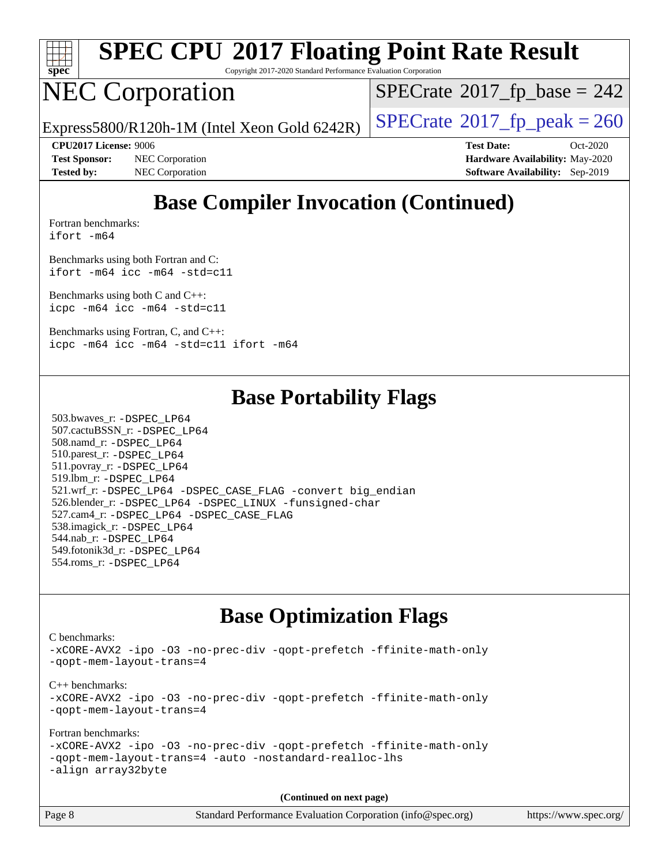

Copyright 2017-2020 Standard Performance Evaluation Corporation

## NEC Corporation

 $SPECTate$ <sup>®</sup>[2017\\_fp\\_base =](http://www.spec.org/auto/cpu2017/Docs/result-fields.html#SPECrate2017fpbase) 242

Express5800/R120h-1M (Intel Xeon Gold 6242R)  $\left|$  [SPECrate](http://www.spec.org/auto/cpu2017/Docs/result-fields.html#SPECrate2017fppeak)<sup>®</sup>[2017\\_fp\\_peak = 2](http://www.spec.org/auto/cpu2017/Docs/result-fields.html#SPECrate2017fppeak)60

**[Test Sponsor:](http://www.spec.org/auto/cpu2017/Docs/result-fields.html#TestSponsor)** NEC Corporation **[Hardware Availability:](http://www.spec.org/auto/cpu2017/Docs/result-fields.html#HardwareAvailability)** May-2020 **[Tested by:](http://www.spec.org/auto/cpu2017/Docs/result-fields.html#Testedby)** NEC Corporation **[Software Availability:](http://www.spec.org/auto/cpu2017/Docs/result-fields.html#SoftwareAvailability)** Sep-2019

**[CPU2017 License:](http://www.spec.org/auto/cpu2017/Docs/result-fields.html#CPU2017License)** 9006 **[Test Date:](http://www.spec.org/auto/cpu2017/Docs/result-fields.html#TestDate)** Oct-2020

## **[Base Compiler Invocation \(Continued\)](http://www.spec.org/auto/cpu2017/Docs/result-fields.html#BaseCompilerInvocation)**

[Fortran benchmarks](http://www.spec.org/auto/cpu2017/Docs/result-fields.html#Fortranbenchmarks): [ifort -m64](http://www.spec.org/cpu2017/results/res2020q4/cpu2017-20201026-24266.flags.html#user_FCbase_intel_ifort_64bit_24f2bb282fbaeffd6157abe4f878425411749daecae9a33200eee2bee2fe76f3b89351d69a8130dd5949958ce389cf37ff59a95e7a40d588e8d3a57e0c3fd751)

[Benchmarks using both Fortran and C](http://www.spec.org/auto/cpu2017/Docs/result-fields.html#BenchmarksusingbothFortranandC): [ifort -m64](http://www.spec.org/cpu2017/results/res2020q4/cpu2017-20201026-24266.flags.html#user_CC_FCbase_intel_ifort_64bit_24f2bb282fbaeffd6157abe4f878425411749daecae9a33200eee2bee2fe76f3b89351d69a8130dd5949958ce389cf37ff59a95e7a40d588e8d3a57e0c3fd751) [icc -m64 -std=c11](http://www.spec.org/cpu2017/results/res2020q4/cpu2017-20201026-24266.flags.html#user_CC_FCbase_intel_icc_64bit_c11_33ee0cdaae7deeeab2a9725423ba97205ce30f63b9926c2519791662299b76a0318f32ddfffdc46587804de3178b4f9328c46fa7c2b0cd779d7a61945c91cd35)

[Benchmarks using both C and C++](http://www.spec.org/auto/cpu2017/Docs/result-fields.html#BenchmarksusingbothCandCXX): [icpc -m64](http://www.spec.org/cpu2017/results/res2020q4/cpu2017-20201026-24266.flags.html#user_CC_CXXbase_intel_icpc_64bit_4ecb2543ae3f1412ef961e0650ca070fec7b7afdcd6ed48761b84423119d1bf6bdf5cad15b44d48e7256388bc77273b966e5eb805aefd121eb22e9299b2ec9d9) [icc -m64 -std=c11](http://www.spec.org/cpu2017/results/res2020q4/cpu2017-20201026-24266.flags.html#user_CC_CXXbase_intel_icc_64bit_c11_33ee0cdaae7deeeab2a9725423ba97205ce30f63b9926c2519791662299b76a0318f32ddfffdc46587804de3178b4f9328c46fa7c2b0cd779d7a61945c91cd35)

[Benchmarks using Fortran, C, and C++:](http://www.spec.org/auto/cpu2017/Docs/result-fields.html#BenchmarksusingFortranCandCXX) [icpc -m64](http://www.spec.org/cpu2017/results/res2020q4/cpu2017-20201026-24266.flags.html#user_CC_CXX_FCbase_intel_icpc_64bit_4ecb2543ae3f1412ef961e0650ca070fec7b7afdcd6ed48761b84423119d1bf6bdf5cad15b44d48e7256388bc77273b966e5eb805aefd121eb22e9299b2ec9d9) [icc -m64 -std=c11](http://www.spec.org/cpu2017/results/res2020q4/cpu2017-20201026-24266.flags.html#user_CC_CXX_FCbase_intel_icc_64bit_c11_33ee0cdaae7deeeab2a9725423ba97205ce30f63b9926c2519791662299b76a0318f32ddfffdc46587804de3178b4f9328c46fa7c2b0cd779d7a61945c91cd35) [ifort -m64](http://www.spec.org/cpu2017/results/res2020q4/cpu2017-20201026-24266.flags.html#user_CC_CXX_FCbase_intel_ifort_64bit_24f2bb282fbaeffd6157abe4f878425411749daecae9a33200eee2bee2fe76f3b89351d69a8130dd5949958ce389cf37ff59a95e7a40d588e8d3a57e0c3fd751)

#### **[Base Portability Flags](http://www.spec.org/auto/cpu2017/Docs/result-fields.html#BasePortabilityFlags)**

 503.bwaves\_r: [-DSPEC\\_LP64](http://www.spec.org/cpu2017/results/res2020q4/cpu2017-20201026-24266.flags.html#suite_basePORTABILITY503_bwaves_r_DSPEC_LP64) 507.cactuBSSN\_r: [-DSPEC\\_LP64](http://www.spec.org/cpu2017/results/res2020q4/cpu2017-20201026-24266.flags.html#suite_basePORTABILITY507_cactuBSSN_r_DSPEC_LP64) 508.namd\_r: [-DSPEC\\_LP64](http://www.spec.org/cpu2017/results/res2020q4/cpu2017-20201026-24266.flags.html#suite_basePORTABILITY508_namd_r_DSPEC_LP64) 510.parest\_r: [-DSPEC\\_LP64](http://www.spec.org/cpu2017/results/res2020q4/cpu2017-20201026-24266.flags.html#suite_basePORTABILITY510_parest_r_DSPEC_LP64) 511.povray\_r: [-DSPEC\\_LP64](http://www.spec.org/cpu2017/results/res2020q4/cpu2017-20201026-24266.flags.html#suite_basePORTABILITY511_povray_r_DSPEC_LP64) 519.lbm\_r: [-DSPEC\\_LP64](http://www.spec.org/cpu2017/results/res2020q4/cpu2017-20201026-24266.flags.html#suite_basePORTABILITY519_lbm_r_DSPEC_LP64) 521.wrf\_r: [-DSPEC\\_LP64](http://www.spec.org/cpu2017/results/res2020q4/cpu2017-20201026-24266.flags.html#suite_basePORTABILITY521_wrf_r_DSPEC_LP64) [-DSPEC\\_CASE\\_FLAG](http://www.spec.org/cpu2017/results/res2020q4/cpu2017-20201026-24266.flags.html#b521.wrf_r_baseCPORTABILITY_DSPEC_CASE_FLAG) [-convert big\\_endian](http://www.spec.org/cpu2017/results/res2020q4/cpu2017-20201026-24266.flags.html#user_baseFPORTABILITY521_wrf_r_convert_big_endian_c3194028bc08c63ac5d04de18c48ce6d347e4e562e8892b8bdbdc0214820426deb8554edfa529a3fb25a586e65a3d812c835984020483e7e73212c4d31a38223) 526.blender\_r: [-DSPEC\\_LP64](http://www.spec.org/cpu2017/results/res2020q4/cpu2017-20201026-24266.flags.html#suite_basePORTABILITY526_blender_r_DSPEC_LP64) [-DSPEC\\_LINUX](http://www.spec.org/cpu2017/results/res2020q4/cpu2017-20201026-24266.flags.html#b526.blender_r_baseCPORTABILITY_DSPEC_LINUX) [-funsigned-char](http://www.spec.org/cpu2017/results/res2020q4/cpu2017-20201026-24266.flags.html#user_baseCPORTABILITY526_blender_r_force_uchar_40c60f00ab013830e2dd6774aeded3ff59883ba5a1fc5fc14077f794d777847726e2a5858cbc7672e36e1b067e7e5c1d9a74f7176df07886a243d7cc18edfe67) 527.cam4\_r: [-DSPEC\\_LP64](http://www.spec.org/cpu2017/results/res2020q4/cpu2017-20201026-24266.flags.html#suite_basePORTABILITY527_cam4_r_DSPEC_LP64) [-DSPEC\\_CASE\\_FLAG](http://www.spec.org/cpu2017/results/res2020q4/cpu2017-20201026-24266.flags.html#b527.cam4_r_baseCPORTABILITY_DSPEC_CASE_FLAG) 538.imagick\_r: [-DSPEC\\_LP64](http://www.spec.org/cpu2017/results/res2020q4/cpu2017-20201026-24266.flags.html#suite_basePORTABILITY538_imagick_r_DSPEC_LP64) 544.nab\_r: [-DSPEC\\_LP64](http://www.spec.org/cpu2017/results/res2020q4/cpu2017-20201026-24266.flags.html#suite_basePORTABILITY544_nab_r_DSPEC_LP64) 549.fotonik3d\_r: [-DSPEC\\_LP64](http://www.spec.org/cpu2017/results/res2020q4/cpu2017-20201026-24266.flags.html#suite_basePORTABILITY549_fotonik3d_r_DSPEC_LP64) 554.roms\_r: [-DSPEC\\_LP64](http://www.spec.org/cpu2017/results/res2020q4/cpu2017-20201026-24266.flags.html#suite_basePORTABILITY554_roms_r_DSPEC_LP64)

### **[Base Optimization Flags](http://www.spec.org/auto/cpu2017/Docs/result-fields.html#BaseOptimizationFlags)**

[C benchmarks](http://www.spec.org/auto/cpu2017/Docs/result-fields.html#Cbenchmarks): [-xCORE-AVX2](http://www.spec.org/cpu2017/results/res2020q4/cpu2017-20201026-24266.flags.html#user_CCbase_f-xCORE-AVX2) [-ipo](http://www.spec.org/cpu2017/results/res2020q4/cpu2017-20201026-24266.flags.html#user_CCbase_f-ipo) [-O3](http://www.spec.org/cpu2017/results/res2020q4/cpu2017-20201026-24266.flags.html#user_CCbase_f-O3) [-no-prec-div](http://www.spec.org/cpu2017/results/res2020q4/cpu2017-20201026-24266.flags.html#user_CCbase_f-no-prec-div) [-qopt-prefetch](http://www.spec.org/cpu2017/results/res2020q4/cpu2017-20201026-24266.flags.html#user_CCbase_f-qopt-prefetch) [-ffinite-math-only](http://www.spec.org/cpu2017/results/res2020q4/cpu2017-20201026-24266.flags.html#user_CCbase_f_finite_math_only_cb91587bd2077682c4b38af759c288ed7c732db004271a9512da14a4f8007909a5f1427ecbf1a0fb78ff2a814402c6114ac565ca162485bbcae155b5e4258871) [-qopt-mem-layout-trans=4](http://www.spec.org/cpu2017/results/res2020q4/cpu2017-20201026-24266.flags.html#user_CCbase_f-qopt-mem-layout-trans_fa39e755916c150a61361b7846f310bcdf6f04e385ef281cadf3647acec3f0ae266d1a1d22d972a7087a248fd4e6ca390a3634700869573d231a252c784941a8) [C++ benchmarks:](http://www.spec.org/auto/cpu2017/Docs/result-fields.html#CXXbenchmarks) [-xCORE-AVX2](http://www.spec.org/cpu2017/results/res2020q4/cpu2017-20201026-24266.flags.html#user_CXXbase_f-xCORE-AVX2) [-ipo](http://www.spec.org/cpu2017/results/res2020q4/cpu2017-20201026-24266.flags.html#user_CXXbase_f-ipo) [-O3](http://www.spec.org/cpu2017/results/res2020q4/cpu2017-20201026-24266.flags.html#user_CXXbase_f-O3) [-no-prec-div](http://www.spec.org/cpu2017/results/res2020q4/cpu2017-20201026-24266.flags.html#user_CXXbase_f-no-prec-div) [-qopt-prefetch](http://www.spec.org/cpu2017/results/res2020q4/cpu2017-20201026-24266.flags.html#user_CXXbase_f-qopt-prefetch) [-ffinite-math-only](http://www.spec.org/cpu2017/results/res2020q4/cpu2017-20201026-24266.flags.html#user_CXXbase_f_finite_math_only_cb91587bd2077682c4b38af759c288ed7c732db004271a9512da14a4f8007909a5f1427ecbf1a0fb78ff2a814402c6114ac565ca162485bbcae155b5e4258871) [-qopt-mem-layout-trans=4](http://www.spec.org/cpu2017/results/res2020q4/cpu2017-20201026-24266.flags.html#user_CXXbase_f-qopt-mem-layout-trans_fa39e755916c150a61361b7846f310bcdf6f04e385ef281cadf3647acec3f0ae266d1a1d22d972a7087a248fd4e6ca390a3634700869573d231a252c784941a8) [Fortran benchmarks](http://www.spec.org/auto/cpu2017/Docs/result-fields.html#Fortranbenchmarks): [-xCORE-AVX2](http://www.spec.org/cpu2017/results/res2020q4/cpu2017-20201026-24266.flags.html#user_FCbase_f-xCORE-AVX2) [-ipo](http://www.spec.org/cpu2017/results/res2020q4/cpu2017-20201026-24266.flags.html#user_FCbase_f-ipo) [-O3](http://www.spec.org/cpu2017/results/res2020q4/cpu2017-20201026-24266.flags.html#user_FCbase_f-O3) [-no-prec-div](http://www.spec.org/cpu2017/results/res2020q4/cpu2017-20201026-24266.flags.html#user_FCbase_f-no-prec-div) [-qopt-prefetch](http://www.spec.org/cpu2017/results/res2020q4/cpu2017-20201026-24266.flags.html#user_FCbase_f-qopt-prefetch) [-ffinite-math-only](http://www.spec.org/cpu2017/results/res2020q4/cpu2017-20201026-24266.flags.html#user_FCbase_f_finite_math_only_cb91587bd2077682c4b38af759c288ed7c732db004271a9512da14a4f8007909a5f1427ecbf1a0fb78ff2a814402c6114ac565ca162485bbcae155b5e4258871) [-qopt-mem-layout-trans=4](http://www.spec.org/cpu2017/results/res2020q4/cpu2017-20201026-24266.flags.html#user_FCbase_f-qopt-mem-layout-trans_fa39e755916c150a61361b7846f310bcdf6f04e385ef281cadf3647acec3f0ae266d1a1d22d972a7087a248fd4e6ca390a3634700869573d231a252c784941a8) [-auto](http://www.spec.org/cpu2017/results/res2020q4/cpu2017-20201026-24266.flags.html#user_FCbase_f-auto) [-nostandard-realloc-lhs](http://www.spec.org/cpu2017/results/res2020q4/cpu2017-20201026-24266.flags.html#user_FCbase_f_2003_std_realloc_82b4557e90729c0f113870c07e44d33d6f5a304b4f63d4c15d2d0f1fab99f5daaed73bdb9275d9ae411527f28b936061aa8b9c8f2d63842963b95c9dd6426b8a) [-align array32byte](http://www.spec.org/cpu2017/results/res2020q4/cpu2017-20201026-24266.flags.html#user_FCbase_align_array32byte_b982fe038af199962ba9a80c053b8342c548c85b40b8e86eb3cc33dee0d7986a4af373ac2d51c3f7cf710a18d62fdce2948f201cd044323541f22fc0fffc51b6)

**(Continued on next page)**

| Page 8 | Standard Performance Evaluation Corporation (info@spec.org) | https://www.spec.org/ |
|--------|-------------------------------------------------------------|-----------------------|
|--------|-------------------------------------------------------------|-----------------------|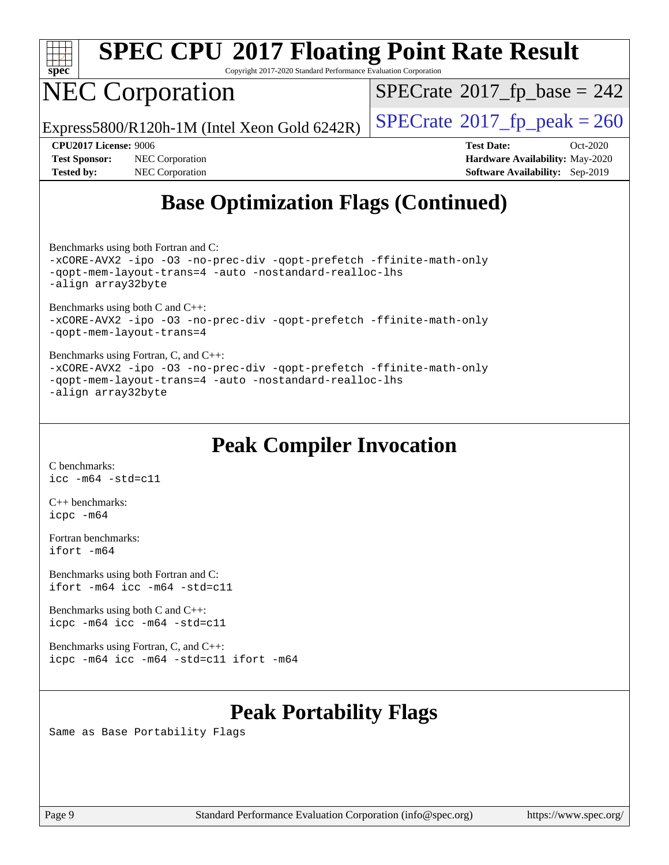

Copyright 2017-2020 Standard Performance Evaluation Corporation

# NEC Corporation

 $SPECTate$ <sup>®</sup>[2017\\_fp\\_base =](http://www.spec.org/auto/cpu2017/Docs/result-fields.html#SPECrate2017fpbase) 242

Express5800/R120h-1M (Intel Xeon Gold 6242R)  $\vert$  [SPECrate](http://www.spec.org/auto/cpu2017/Docs/result-fields.html#SPECrate2017fppeak)®[2017\\_fp\\_peak = 2](http://www.spec.org/auto/cpu2017/Docs/result-fields.html#SPECrate2017fppeak)60

**[Test Sponsor:](http://www.spec.org/auto/cpu2017/Docs/result-fields.html#TestSponsor)** NEC Corporation **[Hardware Availability:](http://www.spec.org/auto/cpu2017/Docs/result-fields.html#HardwareAvailability)** May-2020 **[Tested by:](http://www.spec.org/auto/cpu2017/Docs/result-fields.html#Testedby)** NEC Corporation **[Software Availability:](http://www.spec.org/auto/cpu2017/Docs/result-fields.html#SoftwareAvailability)** Sep-2019

**[CPU2017 License:](http://www.spec.org/auto/cpu2017/Docs/result-fields.html#CPU2017License)** 9006 **[Test Date:](http://www.spec.org/auto/cpu2017/Docs/result-fields.html#TestDate)** Oct-2020

## **[Base Optimization Flags \(Continued\)](http://www.spec.org/auto/cpu2017/Docs/result-fields.html#BaseOptimizationFlags)**

[Benchmarks using both Fortran and C](http://www.spec.org/auto/cpu2017/Docs/result-fields.html#BenchmarksusingbothFortranandC):

[-xCORE-AVX2](http://www.spec.org/cpu2017/results/res2020q4/cpu2017-20201026-24266.flags.html#user_CC_FCbase_f-xCORE-AVX2) [-ipo](http://www.spec.org/cpu2017/results/res2020q4/cpu2017-20201026-24266.flags.html#user_CC_FCbase_f-ipo) [-O3](http://www.spec.org/cpu2017/results/res2020q4/cpu2017-20201026-24266.flags.html#user_CC_FCbase_f-O3) [-no-prec-div](http://www.spec.org/cpu2017/results/res2020q4/cpu2017-20201026-24266.flags.html#user_CC_FCbase_f-no-prec-div) [-qopt-prefetch](http://www.spec.org/cpu2017/results/res2020q4/cpu2017-20201026-24266.flags.html#user_CC_FCbase_f-qopt-prefetch) [-ffinite-math-only](http://www.spec.org/cpu2017/results/res2020q4/cpu2017-20201026-24266.flags.html#user_CC_FCbase_f_finite_math_only_cb91587bd2077682c4b38af759c288ed7c732db004271a9512da14a4f8007909a5f1427ecbf1a0fb78ff2a814402c6114ac565ca162485bbcae155b5e4258871) [-qopt-mem-layout-trans=4](http://www.spec.org/cpu2017/results/res2020q4/cpu2017-20201026-24266.flags.html#user_CC_FCbase_f-qopt-mem-layout-trans_fa39e755916c150a61361b7846f310bcdf6f04e385ef281cadf3647acec3f0ae266d1a1d22d972a7087a248fd4e6ca390a3634700869573d231a252c784941a8) [-auto](http://www.spec.org/cpu2017/results/res2020q4/cpu2017-20201026-24266.flags.html#user_CC_FCbase_f-auto) [-nostandard-realloc-lhs](http://www.spec.org/cpu2017/results/res2020q4/cpu2017-20201026-24266.flags.html#user_CC_FCbase_f_2003_std_realloc_82b4557e90729c0f113870c07e44d33d6f5a304b4f63d4c15d2d0f1fab99f5daaed73bdb9275d9ae411527f28b936061aa8b9c8f2d63842963b95c9dd6426b8a) [-align array32byte](http://www.spec.org/cpu2017/results/res2020q4/cpu2017-20201026-24266.flags.html#user_CC_FCbase_align_array32byte_b982fe038af199962ba9a80c053b8342c548c85b40b8e86eb3cc33dee0d7986a4af373ac2d51c3f7cf710a18d62fdce2948f201cd044323541f22fc0fffc51b6)

[Benchmarks using both C and C++](http://www.spec.org/auto/cpu2017/Docs/result-fields.html#BenchmarksusingbothCandCXX): [-xCORE-AVX2](http://www.spec.org/cpu2017/results/res2020q4/cpu2017-20201026-24266.flags.html#user_CC_CXXbase_f-xCORE-AVX2) [-ipo](http://www.spec.org/cpu2017/results/res2020q4/cpu2017-20201026-24266.flags.html#user_CC_CXXbase_f-ipo) [-O3](http://www.spec.org/cpu2017/results/res2020q4/cpu2017-20201026-24266.flags.html#user_CC_CXXbase_f-O3) [-no-prec-div](http://www.spec.org/cpu2017/results/res2020q4/cpu2017-20201026-24266.flags.html#user_CC_CXXbase_f-no-prec-div) [-qopt-prefetch](http://www.spec.org/cpu2017/results/res2020q4/cpu2017-20201026-24266.flags.html#user_CC_CXXbase_f-qopt-prefetch) [-ffinite-math-only](http://www.spec.org/cpu2017/results/res2020q4/cpu2017-20201026-24266.flags.html#user_CC_CXXbase_f_finite_math_only_cb91587bd2077682c4b38af759c288ed7c732db004271a9512da14a4f8007909a5f1427ecbf1a0fb78ff2a814402c6114ac565ca162485bbcae155b5e4258871) [-qopt-mem-layout-trans=4](http://www.spec.org/cpu2017/results/res2020q4/cpu2017-20201026-24266.flags.html#user_CC_CXXbase_f-qopt-mem-layout-trans_fa39e755916c150a61361b7846f310bcdf6f04e385ef281cadf3647acec3f0ae266d1a1d22d972a7087a248fd4e6ca390a3634700869573d231a252c784941a8)

[Benchmarks using Fortran, C, and C++:](http://www.spec.org/auto/cpu2017/Docs/result-fields.html#BenchmarksusingFortranCandCXX) [-xCORE-AVX2](http://www.spec.org/cpu2017/results/res2020q4/cpu2017-20201026-24266.flags.html#user_CC_CXX_FCbase_f-xCORE-AVX2) [-ipo](http://www.spec.org/cpu2017/results/res2020q4/cpu2017-20201026-24266.flags.html#user_CC_CXX_FCbase_f-ipo) [-O3](http://www.spec.org/cpu2017/results/res2020q4/cpu2017-20201026-24266.flags.html#user_CC_CXX_FCbase_f-O3) [-no-prec-div](http://www.spec.org/cpu2017/results/res2020q4/cpu2017-20201026-24266.flags.html#user_CC_CXX_FCbase_f-no-prec-div) [-qopt-prefetch](http://www.spec.org/cpu2017/results/res2020q4/cpu2017-20201026-24266.flags.html#user_CC_CXX_FCbase_f-qopt-prefetch) [-ffinite-math-only](http://www.spec.org/cpu2017/results/res2020q4/cpu2017-20201026-24266.flags.html#user_CC_CXX_FCbase_f_finite_math_only_cb91587bd2077682c4b38af759c288ed7c732db004271a9512da14a4f8007909a5f1427ecbf1a0fb78ff2a814402c6114ac565ca162485bbcae155b5e4258871) [-qopt-mem-layout-trans=4](http://www.spec.org/cpu2017/results/res2020q4/cpu2017-20201026-24266.flags.html#user_CC_CXX_FCbase_f-qopt-mem-layout-trans_fa39e755916c150a61361b7846f310bcdf6f04e385ef281cadf3647acec3f0ae266d1a1d22d972a7087a248fd4e6ca390a3634700869573d231a252c784941a8) [-auto](http://www.spec.org/cpu2017/results/res2020q4/cpu2017-20201026-24266.flags.html#user_CC_CXX_FCbase_f-auto) [-nostandard-realloc-lhs](http://www.spec.org/cpu2017/results/res2020q4/cpu2017-20201026-24266.flags.html#user_CC_CXX_FCbase_f_2003_std_realloc_82b4557e90729c0f113870c07e44d33d6f5a304b4f63d4c15d2d0f1fab99f5daaed73bdb9275d9ae411527f28b936061aa8b9c8f2d63842963b95c9dd6426b8a) [-align array32byte](http://www.spec.org/cpu2017/results/res2020q4/cpu2017-20201026-24266.flags.html#user_CC_CXX_FCbase_align_array32byte_b982fe038af199962ba9a80c053b8342c548c85b40b8e86eb3cc33dee0d7986a4af373ac2d51c3f7cf710a18d62fdce2948f201cd044323541f22fc0fffc51b6)

### **[Peak Compiler Invocation](http://www.spec.org/auto/cpu2017/Docs/result-fields.html#PeakCompilerInvocation)**

[C benchmarks](http://www.spec.org/auto/cpu2017/Docs/result-fields.html#Cbenchmarks): [icc -m64 -std=c11](http://www.spec.org/cpu2017/results/res2020q4/cpu2017-20201026-24266.flags.html#user_CCpeak_intel_icc_64bit_c11_33ee0cdaae7deeeab2a9725423ba97205ce30f63b9926c2519791662299b76a0318f32ddfffdc46587804de3178b4f9328c46fa7c2b0cd779d7a61945c91cd35)

[C++ benchmarks:](http://www.spec.org/auto/cpu2017/Docs/result-fields.html#CXXbenchmarks) [icpc -m64](http://www.spec.org/cpu2017/results/res2020q4/cpu2017-20201026-24266.flags.html#user_CXXpeak_intel_icpc_64bit_4ecb2543ae3f1412ef961e0650ca070fec7b7afdcd6ed48761b84423119d1bf6bdf5cad15b44d48e7256388bc77273b966e5eb805aefd121eb22e9299b2ec9d9)

[Fortran benchmarks](http://www.spec.org/auto/cpu2017/Docs/result-fields.html#Fortranbenchmarks): [ifort -m64](http://www.spec.org/cpu2017/results/res2020q4/cpu2017-20201026-24266.flags.html#user_FCpeak_intel_ifort_64bit_24f2bb282fbaeffd6157abe4f878425411749daecae9a33200eee2bee2fe76f3b89351d69a8130dd5949958ce389cf37ff59a95e7a40d588e8d3a57e0c3fd751)

[Benchmarks using both Fortran and C](http://www.spec.org/auto/cpu2017/Docs/result-fields.html#BenchmarksusingbothFortranandC): [ifort -m64](http://www.spec.org/cpu2017/results/res2020q4/cpu2017-20201026-24266.flags.html#user_CC_FCpeak_intel_ifort_64bit_24f2bb282fbaeffd6157abe4f878425411749daecae9a33200eee2bee2fe76f3b89351d69a8130dd5949958ce389cf37ff59a95e7a40d588e8d3a57e0c3fd751) [icc -m64 -std=c11](http://www.spec.org/cpu2017/results/res2020q4/cpu2017-20201026-24266.flags.html#user_CC_FCpeak_intel_icc_64bit_c11_33ee0cdaae7deeeab2a9725423ba97205ce30f63b9926c2519791662299b76a0318f32ddfffdc46587804de3178b4f9328c46fa7c2b0cd779d7a61945c91cd35)

[Benchmarks using both C and C++](http://www.spec.org/auto/cpu2017/Docs/result-fields.html#BenchmarksusingbothCandCXX): [icpc -m64](http://www.spec.org/cpu2017/results/res2020q4/cpu2017-20201026-24266.flags.html#user_CC_CXXpeak_intel_icpc_64bit_4ecb2543ae3f1412ef961e0650ca070fec7b7afdcd6ed48761b84423119d1bf6bdf5cad15b44d48e7256388bc77273b966e5eb805aefd121eb22e9299b2ec9d9) [icc -m64 -std=c11](http://www.spec.org/cpu2017/results/res2020q4/cpu2017-20201026-24266.flags.html#user_CC_CXXpeak_intel_icc_64bit_c11_33ee0cdaae7deeeab2a9725423ba97205ce30f63b9926c2519791662299b76a0318f32ddfffdc46587804de3178b4f9328c46fa7c2b0cd779d7a61945c91cd35)

[Benchmarks using Fortran, C, and C++:](http://www.spec.org/auto/cpu2017/Docs/result-fields.html#BenchmarksusingFortranCandCXX) [icpc -m64](http://www.spec.org/cpu2017/results/res2020q4/cpu2017-20201026-24266.flags.html#user_CC_CXX_FCpeak_intel_icpc_64bit_4ecb2543ae3f1412ef961e0650ca070fec7b7afdcd6ed48761b84423119d1bf6bdf5cad15b44d48e7256388bc77273b966e5eb805aefd121eb22e9299b2ec9d9) [icc -m64 -std=c11](http://www.spec.org/cpu2017/results/res2020q4/cpu2017-20201026-24266.flags.html#user_CC_CXX_FCpeak_intel_icc_64bit_c11_33ee0cdaae7deeeab2a9725423ba97205ce30f63b9926c2519791662299b76a0318f32ddfffdc46587804de3178b4f9328c46fa7c2b0cd779d7a61945c91cd35) [ifort -m64](http://www.spec.org/cpu2017/results/res2020q4/cpu2017-20201026-24266.flags.html#user_CC_CXX_FCpeak_intel_ifort_64bit_24f2bb282fbaeffd6157abe4f878425411749daecae9a33200eee2bee2fe76f3b89351d69a8130dd5949958ce389cf37ff59a95e7a40d588e8d3a57e0c3fd751)

### **[Peak Portability Flags](http://www.spec.org/auto/cpu2017/Docs/result-fields.html#PeakPortabilityFlags)**

Same as Base Portability Flags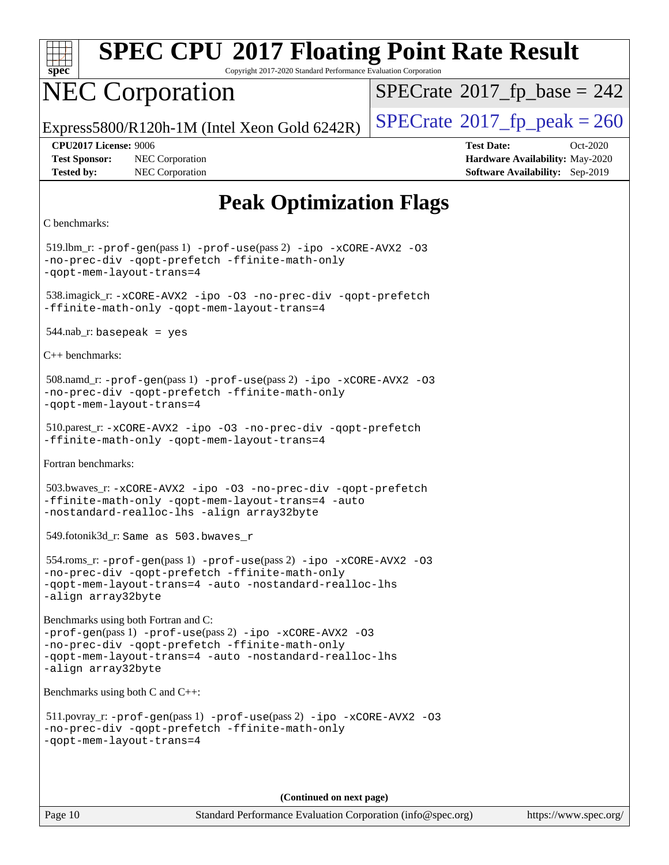

Copyright 2017-2020 Standard Performance Evaluation Corporation

## NEC Corporation

 $SPECTate$ <sup>®</sup>[2017\\_fp\\_base =](http://www.spec.org/auto/cpu2017/Docs/result-fields.html#SPECrate2017fpbase) 242

Express5800/R120h-1M (Intel Xeon Gold 6242R)  $\vert$  [SPECrate](http://www.spec.org/auto/cpu2017/Docs/result-fields.html#SPECrate2017fppeak)®[2017\\_fp\\_peak = 2](http://www.spec.org/auto/cpu2017/Docs/result-fields.html#SPECrate2017fppeak)60

**[Test Sponsor:](http://www.spec.org/auto/cpu2017/Docs/result-fields.html#TestSponsor)** NEC Corporation **[Hardware Availability:](http://www.spec.org/auto/cpu2017/Docs/result-fields.html#HardwareAvailability)** May-2020 **[Tested by:](http://www.spec.org/auto/cpu2017/Docs/result-fields.html#Testedby)** NEC Corporation **[Software Availability:](http://www.spec.org/auto/cpu2017/Docs/result-fields.html#SoftwareAvailability)** Sep-2019

**[CPU2017 License:](http://www.spec.org/auto/cpu2017/Docs/result-fields.html#CPU2017License)** 9006 **[Test Date:](http://www.spec.org/auto/cpu2017/Docs/result-fields.html#TestDate)** Oct-2020

## **[Peak Optimization Flags](http://www.spec.org/auto/cpu2017/Docs/result-fields.html#PeakOptimizationFlags)**

```
C benchmarks:
```
 519.lbm\_r: [-prof-gen](http://www.spec.org/cpu2017/results/res2020q4/cpu2017-20201026-24266.flags.html#user_peakPASS1_CFLAGSPASS1_LDFLAGS519_lbm_r_prof_gen_5aa4926d6013ddb2a31985c654b3eb18169fc0c6952a63635c234f711e6e63dd76e94ad52365559451ec499a2cdb89e4dc58ba4c67ef54ca681ffbe1461d6b36)(pass 1) [-prof-use](http://www.spec.org/cpu2017/results/res2020q4/cpu2017-20201026-24266.flags.html#user_peakPASS2_CFLAGSPASS2_LDFLAGS519_lbm_r_prof_use_1a21ceae95f36a2b53c25747139a6c16ca95bd9def2a207b4f0849963b97e94f5260e30a0c64f4bb623698870e679ca08317ef8150905d41bd88c6f78df73f19)(pass 2) [-ipo](http://www.spec.org/cpu2017/results/res2020q4/cpu2017-20201026-24266.flags.html#user_peakPASS1_COPTIMIZEPASS2_COPTIMIZE519_lbm_r_f-ipo) [-xCORE-AVX2](http://www.spec.org/cpu2017/results/res2020q4/cpu2017-20201026-24266.flags.html#user_peakPASS2_COPTIMIZE519_lbm_r_f-xCORE-AVX2) [-O3](http://www.spec.org/cpu2017/results/res2020q4/cpu2017-20201026-24266.flags.html#user_peakPASS1_COPTIMIZEPASS2_COPTIMIZE519_lbm_r_f-O3) [-no-prec-div](http://www.spec.org/cpu2017/results/res2020q4/cpu2017-20201026-24266.flags.html#user_peakPASS1_COPTIMIZEPASS2_COPTIMIZE519_lbm_r_f-no-prec-div) [-qopt-prefetch](http://www.spec.org/cpu2017/results/res2020q4/cpu2017-20201026-24266.flags.html#user_peakPASS1_COPTIMIZEPASS2_COPTIMIZE519_lbm_r_f-qopt-prefetch) [-ffinite-math-only](http://www.spec.org/cpu2017/results/res2020q4/cpu2017-20201026-24266.flags.html#user_peakPASS1_COPTIMIZEPASS2_COPTIMIZE519_lbm_r_f_finite_math_only_cb91587bd2077682c4b38af759c288ed7c732db004271a9512da14a4f8007909a5f1427ecbf1a0fb78ff2a814402c6114ac565ca162485bbcae155b5e4258871) [-qopt-mem-layout-trans=4](http://www.spec.org/cpu2017/results/res2020q4/cpu2017-20201026-24266.flags.html#user_peakPASS1_COPTIMIZEPASS2_COPTIMIZE519_lbm_r_f-qopt-mem-layout-trans_fa39e755916c150a61361b7846f310bcdf6f04e385ef281cadf3647acec3f0ae266d1a1d22d972a7087a248fd4e6ca390a3634700869573d231a252c784941a8) 538.imagick\_r: [-xCORE-AVX2](http://www.spec.org/cpu2017/results/res2020q4/cpu2017-20201026-24266.flags.html#user_peakCOPTIMIZE538_imagick_r_f-xCORE-AVX2) [-ipo](http://www.spec.org/cpu2017/results/res2020q4/cpu2017-20201026-24266.flags.html#user_peakCOPTIMIZE538_imagick_r_f-ipo) [-O3](http://www.spec.org/cpu2017/results/res2020q4/cpu2017-20201026-24266.flags.html#user_peakCOPTIMIZE538_imagick_r_f-O3) [-no-prec-div](http://www.spec.org/cpu2017/results/res2020q4/cpu2017-20201026-24266.flags.html#user_peakCOPTIMIZE538_imagick_r_f-no-prec-div) [-qopt-prefetch](http://www.spec.org/cpu2017/results/res2020q4/cpu2017-20201026-24266.flags.html#user_peakCOPTIMIZE538_imagick_r_f-qopt-prefetch) [-ffinite-math-only](http://www.spec.org/cpu2017/results/res2020q4/cpu2017-20201026-24266.flags.html#user_peakCOPTIMIZE538_imagick_r_f_finite_math_only_cb91587bd2077682c4b38af759c288ed7c732db004271a9512da14a4f8007909a5f1427ecbf1a0fb78ff2a814402c6114ac565ca162485bbcae155b5e4258871) [-qopt-mem-layout-trans=4](http://www.spec.org/cpu2017/results/res2020q4/cpu2017-20201026-24266.flags.html#user_peakCOPTIMIZE538_imagick_r_f-qopt-mem-layout-trans_fa39e755916c150a61361b7846f310bcdf6f04e385ef281cadf3647acec3f0ae266d1a1d22d972a7087a248fd4e6ca390a3634700869573d231a252c784941a8)  $544$ .nab\_r: basepeak = yes [C++ benchmarks:](http://www.spec.org/auto/cpu2017/Docs/result-fields.html#CXXbenchmarks) 508.namd\_r: [-prof-gen](http://www.spec.org/cpu2017/results/res2020q4/cpu2017-20201026-24266.flags.html#user_peakPASS1_CXXFLAGSPASS1_LDFLAGS508_namd_r_prof_gen_5aa4926d6013ddb2a31985c654b3eb18169fc0c6952a63635c234f711e6e63dd76e94ad52365559451ec499a2cdb89e4dc58ba4c67ef54ca681ffbe1461d6b36)(pass 1) [-prof-use](http://www.spec.org/cpu2017/results/res2020q4/cpu2017-20201026-24266.flags.html#user_peakPASS2_CXXFLAGSPASS2_LDFLAGS508_namd_r_prof_use_1a21ceae95f36a2b53c25747139a6c16ca95bd9def2a207b4f0849963b97e94f5260e30a0c64f4bb623698870e679ca08317ef8150905d41bd88c6f78df73f19)(pass 2) [-ipo](http://www.spec.org/cpu2017/results/res2020q4/cpu2017-20201026-24266.flags.html#user_peakPASS1_CXXOPTIMIZEPASS2_CXXOPTIMIZE508_namd_r_f-ipo) [-xCORE-AVX2](http://www.spec.org/cpu2017/results/res2020q4/cpu2017-20201026-24266.flags.html#user_peakPASS2_CXXOPTIMIZE508_namd_r_f-xCORE-AVX2) [-O3](http://www.spec.org/cpu2017/results/res2020q4/cpu2017-20201026-24266.flags.html#user_peakPASS1_CXXOPTIMIZEPASS2_CXXOPTIMIZE508_namd_r_f-O3) [-no-prec-div](http://www.spec.org/cpu2017/results/res2020q4/cpu2017-20201026-24266.flags.html#user_peakPASS1_CXXOPTIMIZEPASS2_CXXOPTIMIZE508_namd_r_f-no-prec-div) [-qopt-prefetch](http://www.spec.org/cpu2017/results/res2020q4/cpu2017-20201026-24266.flags.html#user_peakPASS1_CXXOPTIMIZEPASS2_CXXOPTIMIZE508_namd_r_f-qopt-prefetch) [-ffinite-math-only](http://www.spec.org/cpu2017/results/res2020q4/cpu2017-20201026-24266.flags.html#user_peakPASS1_CXXOPTIMIZEPASS2_CXXOPTIMIZE508_namd_r_f_finite_math_only_cb91587bd2077682c4b38af759c288ed7c732db004271a9512da14a4f8007909a5f1427ecbf1a0fb78ff2a814402c6114ac565ca162485bbcae155b5e4258871) [-qopt-mem-layout-trans=4](http://www.spec.org/cpu2017/results/res2020q4/cpu2017-20201026-24266.flags.html#user_peakPASS1_CXXOPTIMIZEPASS2_CXXOPTIMIZE508_namd_r_f-qopt-mem-layout-trans_fa39e755916c150a61361b7846f310bcdf6f04e385ef281cadf3647acec3f0ae266d1a1d22d972a7087a248fd4e6ca390a3634700869573d231a252c784941a8) 510.parest\_r: [-xCORE-AVX2](http://www.spec.org/cpu2017/results/res2020q4/cpu2017-20201026-24266.flags.html#user_peakCXXOPTIMIZE510_parest_r_f-xCORE-AVX2) [-ipo](http://www.spec.org/cpu2017/results/res2020q4/cpu2017-20201026-24266.flags.html#user_peakCXXOPTIMIZE510_parest_r_f-ipo) [-O3](http://www.spec.org/cpu2017/results/res2020q4/cpu2017-20201026-24266.flags.html#user_peakCXXOPTIMIZE510_parest_r_f-O3) [-no-prec-div](http://www.spec.org/cpu2017/results/res2020q4/cpu2017-20201026-24266.flags.html#user_peakCXXOPTIMIZE510_parest_r_f-no-prec-div) [-qopt-prefetch](http://www.spec.org/cpu2017/results/res2020q4/cpu2017-20201026-24266.flags.html#user_peakCXXOPTIMIZE510_parest_r_f-qopt-prefetch) [-ffinite-math-only](http://www.spec.org/cpu2017/results/res2020q4/cpu2017-20201026-24266.flags.html#user_peakCXXOPTIMIZE510_parest_r_f_finite_math_only_cb91587bd2077682c4b38af759c288ed7c732db004271a9512da14a4f8007909a5f1427ecbf1a0fb78ff2a814402c6114ac565ca162485bbcae155b5e4258871) [-qopt-mem-layout-trans=4](http://www.spec.org/cpu2017/results/res2020q4/cpu2017-20201026-24266.flags.html#user_peakCXXOPTIMIZE510_parest_r_f-qopt-mem-layout-trans_fa39e755916c150a61361b7846f310bcdf6f04e385ef281cadf3647acec3f0ae266d1a1d22d972a7087a248fd4e6ca390a3634700869573d231a252c784941a8) [Fortran benchmarks](http://www.spec.org/auto/cpu2017/Docs/result-fields.html#Fortranbenchmarks): 503.bwaves\_r: [-xCORE-AVX2](http://www.spec.org/cpu2017/results/res2020q4/cpu2017-20201026-24266.flags.html#user_peakFOPTIMIZE503_bwaves_r_f-xCORE-AVX2) [-ipo](http://www.spec.org/cpu2017/results/res2020q4/cpu2017-20201026-24266.flags.html#user_peakFOPTIMIZE503_bwaves_r_f-ipo) [-O3](http://www.spec.org/cpu2017/results/res2020q4/cpu2017-20201026-24266.flags.html#user_peakFOPTIMIZE503_bwaves_r_f-O3) [-no-prec-div](http://www.spec.org/cpu2017/results/res2020q4/cpu2017-20201026-24266.flags.html#user_peakFOPTIMIZE503_bwaves_r_f-no-prec-div) [-qopt-prefetch](http://www.spec.org/cpu2017/results/res2020q4/cpu2017-20201026-24266.flags.html#user_peakFOPTIMIZE503_bwaves_r_f-qopt-prefetch) [-ffinite-math-only](http://www.spec.org/cpu2017/results/res2020q4/cpu2017-20201026-24266.flags.html#user_peakFOPTIMIZE503_bwaves_r_f_finite_math_only_cb91587bd2077682c4b38af759c288ed7c732db004271a9512da14a4f8007909a5f1427ecbf1a0fb78ff2a814402c6114ac565ca162485bbcae155b5e4258871) [-qopt-mem-layout-trans=4](http://www.spec.org/cpu2017/results/res2020q4/cpu2017-20201026-24266.flags.html#user_peakFOPTIMIZE503_bwaves_r_f-qopt-mem-layout-trans_fa39e755916c150a61361b7846f310bcdf6f04e385ef281cadf3647acec3f0ae266d1a1d22d972a7087a248fd4e6ca390a3634700869573d231a252c784941a8) [-auto](http://www.spec.org/cpu2017/results/res2020q4/cpu2017-20201026-24266.flags.html#user_peakFOPTIMIZE503_bwaves_r_f-auto) [-nostandard-realloc-lhs](http://www.spec.org/cpu2017/results/res2020q4/cpu2017-20201026-24266.flags.html#user_peakEXTRA_FOPTIMIZE503_bwaves_r_f_2003_std_realloc_82b4557e90729c0f113870c07e44d33d6f5a304b4f63d4c15d2d0f1fab99f5daaed73bdb9275d9ae411527f28b936061aa8b9c8f2d63842963b95c9dd6426b8a) [-align array32byte](http://www.spec.org/cpu2017/results/res2020q4/cpu2017-20201026-24266.flags.html#user_peakEXTRA_FOPTIMIZE503_bwaves_r_align_array32byte_b982fe038af199962ba9a80c053b8342c548c85b40b8e86eb3cc33dee0d7986a4af373ac2d51c3f7cf710a18d62fdce2948f201cd044323541f22fc0fffc51b6) 549.fotonik3d\_r: Same as 503.bwaves\_r 554.roms\_r: [-prof-gen](http://www.spec.org/cpu2017/results/res2020q4/cpu2017-20201026-24266.flags.html#user_peakPASS1_FFLAGSPASS1_LDFLAGS554_roms_r_prof_gen_5aa4926d6013ddb2a31985c654b3eb18169fc0c6952a63635c234f711e6e63dd76e94ad52365559451ec499a2cdb89e4dc58ba4c67ef54ca681ffbe1461d6b36)(pass 1) [-prof-use](http://www.spec.org/cpu2017/results/res2020q4/cpu2017-20201026-24266.flags.html#user_peakPASS2_FFLAGSPASS2_LDFLAGS554_roms_r_prof_use_1a21ceae95f36a2b53c25747139a6c16ca95bd9def2a207b4f0849963b97e94f5260e30a0c64f4bb623698870e679ca08317ef8150905d41bd88c6f78df73f19)(pass 2) [-ipo](http://www.spec.org/cpu2017/results/res2020q4/cpu2017-20201026-24266.flags.html#user_peakPASS1_FOPTIMIZEPASS2_FOPTIMIZE554_roms_r_f-ipo) [-xCORE-AVX2](http://www.spec.org/cpu2017/results/res2020q4/cpu2017-20201026-24266.flags.html#user_peakPASS2_FOPTIMIZE554_roms_r_f-xCORE-AVX2) [-O3](http://www.spec.org/cpu2017/results/res2020q4/cpu2017-20201026-24266.flags.html#user_peakPASS1_FOPTIMIZEPASS2_FOPTIMIZE554_roms_r_f-O3) [-no-prec-div](http://www.spec.org/cpu2017/results/res2020q4/cpu2017-20201026-24266.flags.html#user_peakPASS1_FOPTIMIZEPASS2_FOPTIMIZE554_roms_r_f-no-prec-div) [-qopt-prefetch](http://www.spec.org/cpu2017/results/res2020q4/cpu2017-20201026-24266.flags.html#user_peakPASS1_FOPTIMIZEPASS2_FOPTIMIZE554_roms_r_f-qopt-prefetch) [-ffinite-math-only](http://www.spec.org/cpu2017/results/res2020q4/cpu2017-20201026-24266.flags.html#user_peakPASS1_FOPTIMIZEPASS2_FOPTIMIZE554_roms_r_f_finite_math_only_cb91587bd2077682c4b38af759c288ed7c732db004271a9512da14a4f8007909a5f1427ecbf1a0fb78ff2a814402c6114ac565ca162485bbcae155b5e4258871) [-qopt-mem-layout-trans=4](http://www.spec.org/cpu2017/results/res2020q4/cpu2017-20201026-24266.flags.html#user_peakPASS1_FOPTIMIZEPASS2_FOPTIMIZE554_roms_r_f-qopt-mem-layout-trans_fa39e755916c150a61361b7846f310bcdf6f04e385ef281cadf3647acec3f0ae266d1a1d22d972a7087a248fd4e6ca390a3634700869573d231a252c784941a8) [-auto](http://www.spec.org/cpu2017/results/res2020q4/cpu2017-20201026-24266.flags.html#user_peakPASS2_FOPTIMIZE554_roms_r_f-auto) [-nostandard-realloc-lhs](http://www.spec.org/cpu2017/results/res2020q4/cpu2017-20201026-24266.flags.html#user_peakEXTRA_FOPTIMIZE554_roms_r_f_2003_std_realloc_82b4557e90729c0f113870c07e44d33d6f5a304b4f63d4c15d2d0f1fab99f5daaed73bdb9275d9ae411527f28b936061aa8b9c8f2d63842963b95c9dd6426b8a) [-align array32byte](http://www.spec.org/cpu2017/results/res2020q4/cpu2017-20201026-24266.flags.html#user_peakEXTRA_FOPTIMIZE554_roms_r_align_array32byte_b982fe038af199962ba9a80c053b8342c548c85b40b8e86eb3cc33dee0d7986a4af373ac2d51c3f7cf710a18d62fdce2948f201cd044323541f22fc0fffc51b6) [Benchmarks using both Fortran and C](http://www.spec.org/auto/cpu2017/Docs/result-fields.html#BenchmarksusingbothFortranandC): [-prof-gen](http://www.spec.org/cpu2017/results/res2020q4/cpu2017-20201026-24266.flags.html#user_CC_FCpeak_prof_gen_5aa4926d6013ddb2a31985c654b3eb18169fc0c6952a63635c234f711e6e63dd76e94ad52365559451ec499a2cdb89e4dc58ba4c67ef54ca681ffbe1461d6b36)(pass 1) [-prof-use](http://www.spec.org/cpu2017/results/res2020q4/cpu2017-20201026-24266.flags.html#user_CC_FCpeak_prof_use_1a21ceae95f36a2b53c25747139a6c16ca95bd9def2a207b4f0849963b97e94f5260e30a0c64f4bb623698870e679ca08317ef8150905d41bd88c6f78df73f19)(pass 2) [-ipo](http://www.spec.org/cpu2017/results/res2020q4/cpu2017-20201026-24266.flags.html#user_CC_FCpeak_f-ipo) [-xCORE-AVX2](http://www.spec.org/cpu2017/results/res2020q4/cpu2017-20201026-24266.flags.html#user_CC_FCpeak_f-xCORE-AVX2) [-O3](http://www.spec.org/cpu2017/results/res2020q4/cpu2017-20201026-24266.flags.html#user_CC_FCpeak_f-O3) [-no-prec-div](http://www.spec.org/cpu2017/results/res2020q4/cpu2017-20201026-24266.flags.html#user_CC_FCpeak_f-no-prec-div) [-qopt-prefetch](http://www.spec.org/cpu2017/results/res2020q4/cpu2017-20201026-24266.flags.html#user_CC_FCpeak_f-qopt-prefetch) [-ffinite-math-only](http://www.spec.org/cpu2017/results/res2020q4/cpu2017-20201026-24266.flags.html#user_CC_FCpeak_f_finite_math_only_cb91587bd2077682c4b38af759c288ed7c732db004271a9512da14a4f8007909a5f1427ecbf1a0fb78ff2a814402c6114ac565ca162485bbcae155b5e4258871) [-qopt-mem-layout-trans=4](http://www.spec.org/cpu2017/results/res2020q4/cpu2017-20201026-24266.flags.html#user_CC_FCpeak_f-qopt-mem-layout-trans_fa39e755916c150a61361b7846f310bcdf6f04e385ef281cadf3647acec3f0ae266d1a1d22d972a7087a248fd4e6ca390a3634700869573d231a252c784941a8) [-auto](http://www.spec.org/cpu2017/results/res2020q4/cpu2017-20201026-24266.flags.html#user_CC_FCpeak_f-auto) [-nostandard-realloc-lhs](http://www.spec.org/cpu2017/results/res2020q4/cpu2017-20201026-24266.flags.html#user_CC_FCpeak_f_2003_std_realloc_82b4557e90729c0f113870c07e44d33d6f5a304b4f63d4c15d2d0f1fab99f5daaed73bdb9275d9ae411527f28b936061aa8b9c8f2d63842963b95c9dd6426b8a) [-align array32byte](http://www.spec.org/cpu2017/results/res2020q4/cpu2017-20201026-24266.flags.html#user_CC_FCpeak_align_array32byte_b982fe038af199962ba9a80c053b8342c548c85b40b8e86eb3cc33dee0d7986a4af373ac2d51c3f7cf710a18d62fdce2948f201cd044323541f22fc0fffc51b6) [Benchmarks using both C and C++:](http://www.spec.org/auto/cpu2017/Docs/result-fields.html#BenchmarksusingbothCandCXX) 511.povray\_r: [-prof-gen](http://www.spec.org/cpu2017/results/res2020q4/cpu2017-20201026-24266.flags.html#user_peakPASS1_CFLAGSPASS1_CXXFLAGSPASS1_LDFLAGS511_povray_r_prof_gen_5aa4926d6013ddb2a31985c654b3eb18169fc0c6952a63635c234f711e6e63dd76e94ad52365559451ec499a2cdb89e4dc58ba4c67ef54ca681ffbe1461d6b36)(pass 1) [-prof-use](http://www.spec.org/cpu2017/results/res2020q4/cpu2017-20201026-24266.flags.html#user_peakPASS2_CFLAGSPASS2_CXXFLAGSPASS2_LDFLAGS511_povray_r_prof_use_1a21ceae95f36a2b53c25747139a6c16ca95bd9def2a207b4f0849963b97e94f5260e30a0c64f4bb623698870e679ca08317ef8150905d41bd88c6f78df73f19)(pass 2) [-ipo](http://www.spec.org/cpu2017/results/res2020q4/cpu2017-20201026-24266.flags.html#user_peakPASS1_COPTIMIZEPASS1_CXXOPTIMIZEPASS2_COPTIMIZEPASS2_CXXOPTIMIZE511_povray_r_f-ipo) [-xCORE-AVX2](http://www.spec.org/cpu2017/results/res2020q4/cpu2017-20201026-24266.flags.html#user_peakPASS2_COPTIMIZEPASS2_CXXOPTIMIZE511_povray_r_f-xCORE-AVX2) [-O3](http://www.spec.org/cpu2017/results/res2020q4/cpu2017-20201026-24266.flags.html#user_peakPASS1_COPTIMIZEPASS1_CXXOPTIMIZEPASS2_COPTIMIZEPASS2_CXXOPTIMIZE511_povray_r_f-O3) [-no-prec-div](http://www.spec.org/cpu2017/results/res2020q4/cpu2017-20201026-24266.flags.html#user_peakPASS1_COPTIMIZEPASS1_CXXOPTIMIZEPASS2_COPTIMIZEPASS2_CXXOPTIMIZE511_povray_r_f-no-prec-div) [-qopt-prefetch](http://www.spec.org/cpu2017/results/res2020q4/cpu2017-20201026-24266.flags.html#user_peakPASS1_COPTIMIZEPASS1_CXXOPTIMIZEPASS2_COPTIMIZEPASS2_CXXOPTIMIZE511_povray_r_f-qopt-prefetch) [-ffinite-math-only](http://www.spec.org/cpu2017/results/res2020q4/cpu2017-20201026-24266.flags.html#user_peakPASS1_COPTIMIZEPASS1_CXXOPTIMIZEPASS2_COPTIMIZEPASS2_CXXOPTIMIZE511_povray_r_f_finite_math_only_cb91587bd2077682c4b38af759c288ed7c732db004271a9512da14a4f8007909a5f1427ecbf1a0fb78ff2a814402c6114ac565ca162485bbcae155b5e4258871) [-qopt-mem-layout-trans=4](http://www.spec.org/cpu2017/results/res2020q4/cpu2017-20201026-24266.flags.html#user_peakPASS1_COPTIMIZEPASS1_CXXOPTIMIZEPASS2_COPTIMIZEPASS2_CXXOPTIMIZE511_povray_r_f-qopt-mem-layout-trans_fa39e755916c150a61361b7846f310bcdf6f04e385ef281cadf3647acec3f0ae266d1a1d22d972a7087a248fd4e6ca390a3634700869573d231a252c784941a8)

**(Continued on next page)**